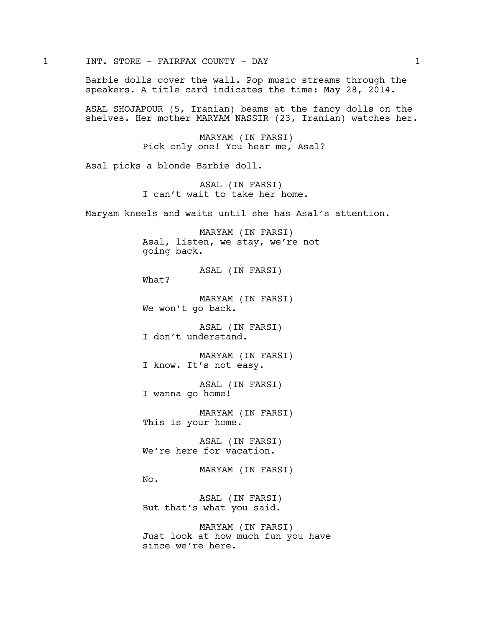1 INT. STORE - FAIRFAX COUNTY - DAY 1

Barbie dolls cover the wall. Pop music streams through the speakers. A title card indicates the time: May 28, 2014.

ASAL SHOJAPOUR (5, Iranian) beams at the fancy dolls on the shelves. Her mother MARYAM NASSIR (23, Iranian) watches her.

> MARYAM (IN FARSI) Pick only one! You hear me, Asal?

Asal picks a blonde Barbie doll.

What?

No.

ASAL (IN FARSI) I can't wait to take her home.

Maryam kneels and waits until she has Asal's attention.

MARYAM (IN FARSI) Asal, listen, we stay, we're not going back.

ASAL (IN FARSI)

MARYAM (IN FARSI) We won't go back.

ASAL (IN FARSI) I don't understand.

MARYAM (IN FARSI) I know. It's not easy.

ASAL (IN FARSI) I wanna go home!

MARYAM (IN FARSI) This is your home.

ASAL (IN FARSI) We're here for vacation.

MARYAM (IN FARSI)

ASAL (IN FARSI) But that's what you said.

MARYAM (IN FARSI) Just look at how much fun you have since we're here.